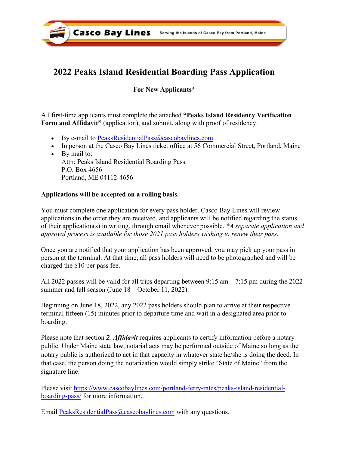

# **2022 Peaks Island Residential Boarding Pass Application**

## **For New Applicants\***

All first-time applicants must complete the attached **"Peaks Island Residency Verification Form and Affidavit"** (application), and submit, along with proof of residency:

- By e-mail to [PeaksResidentialPass@cascobaylines.com](mailto:PeaksResidentialPass@cascobaylines.com%E2%80%A2In)
- [In person at the Casco Bay Lines ticket office at 56 Comm](mailto:PeaksResidentialPass@cascobaylines.com%E2%80%A2In)ercial Street, Portland, Maine
- By mail to: Attn: Peaks [Island Residential Boarding Pass](mailto:PeaksResidentialPass@Cascobaylines.com) P.O. Box 4656 Portland, ME 04112-4656

### **Applications will be accepted on a rolling basis.**

You must complete one application for every pass holder. Casco Bay Lines will review applications in the order they are received, and applicants will be notified regarding the status of their application(s) in writing, through email whenever possible. *\*A separate application and approval process is available for those 2021 pass holders wishing to renew their pass.* 

Once you are notified that your application has been approved, you may pick up your pass in person at the terminal. At that time, all pass holders will need to be photographed and will be charged the \$10 per pass fee.

All 2022 passes will be valid for all trips departing between 9:15 am – 7:15 pm during the 2022 summer and fall season (June 18 – October 11, 2022).

Beginning on June 18, 2022, any 2022 pass holders should plan to arrive at their respective terminal fifteen (15) minutes prior to departure time and wait in a designated area prior to boarding.

Please note that section *2. Affidavit* requires applicants to certify information before a notary public. Under Maine state law, notarial acts may be performed outside of Maine so long as the notary publ[ic is authorized to act in that capacity in whatever state he/she is doing the deed. In](https://www.cascobaylines.com/portland-ferry-rates/peaks-island-residential-boarding-pass/)  that case, the person doing the notarization would simply strike "State of Maine" from the [signature line.](https://www.cascobaylines.com/portland-ferry-rates/peaks-island-residential-boarding-pass/) 

Please visit [https://www.cascobaylines.com/portland-ferry-rates/peaks-island-residential](https://www.cascobaylines.com/portland-ferry-rates/peaks-island-residential-boarding-pass/)boarding-pass/ for more information.

Email [PeaksResidentialPass@cascobaylines.com](mailto:PeaksResidentialPass@cascobaylines.com) with any questions.